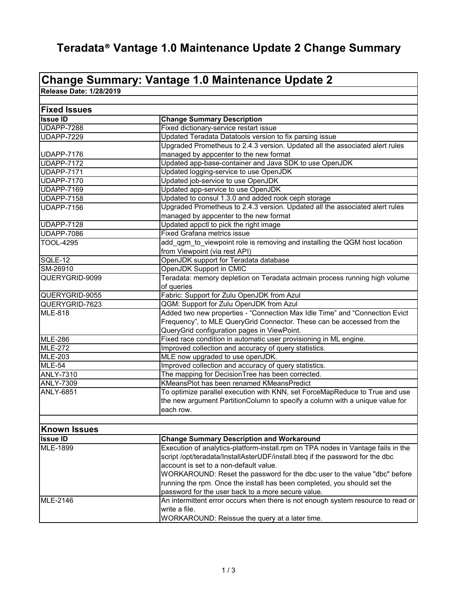## **Teradata® Vantage 1.0 Maintenance Update 2 Change Summary**

## **Change Summary: Vantage 1.0 Maintenance Update 2**

**Release Date: 1/28/2019**

| <b>Fixed Issues</b> |                                                                                  |
|---------------------|----------------------------------------------------------------------------------|
| <b>Issue ID</b>     | <b>Change Summary Description</b>                                                |
| <b>UDAPP-7288</b>   | Fixed dictionary-service restart issue                                           |
| <b>UDAPP-7229</b>   | Updated Teradata Datatools version to fix parsing issue                          |
|                     | Upgraded Prometheus to 2.4.3 version. Updated all the associated alert rules     |
| <b>UDAPP-7176</b>   | managed by appcenter to the new format                                           |
| <b>UDAPP-7172</b>   | Updated app-base-container and Java SDK to use OpenJDK                           |
| <b>UDAPP-7171</b>   | Updated logging-service to use OpenJDK                                           |
| <b>UDAPP-7170</b>   | Updated job-service to use OpenJDK                                               |
| <b>UDAPP-7169</b>   | Updated app-service to use OpenJDK                                               |
| <b>UDAPP-7158</b>   | Updated to consul 1.3.0 and added rook ceph storage                              |
| <b>UDAPP-7156</b>   | Upgraded Prometheus to 2.4.3 version. Updated all the associated alert rules     |
|                     | managed by appcenter to the new format                                           |
| UDAPP-7128          | Updated appctl to pick the right image                                           |
| <b>UDAPP-7086</b>   | <b>Fixed Grafana metrics issue</b>                                               |
| <b>TOOL-4295</b>    | add_qgm_to_viewpoint role is removing and installing the QGM host location       |
|                     | from Viewpoint (via rest API)                                                    |
| SQLE-12             | OpenJDK support for Teradata database                                            |
| SM-26910            | OpenJDK Support in CMIC                                                          |
| QUERYGRID-9099      | Teradata: memory depletion on Teradata actmain process running high volume       |
|                     | of queries                                                                       |
| QUERYGRID-9055      | Fabric: Support for Zulu OpenJDK from Azul                                       |
| QUERYGRID-7623      | QGM: Support for Zulu OpenJDK from Azul                                          |
| <b>MLE-818</b>      | Added two new properties - "Connection Max Idle Time" and "Connection Evict      |
|                     | Frequency", to MLE QueryGrid Connector. These can be accessed from the           |
|                     | QueryGrid configuration pages in ViewPoint.                                      |
| <b>MLE-286</b>      | Fixed race condition in automatic user provisioning in ML engine.                |
| <b>MLE-272</b>      | Improved collection and accuracy of query statistics.                            |
| <b>MLE-203</b>      | MLE now upgraded to use openJDK.                                                 |
| <b>MLE-54</b>       | Improved collection and accuracy of query statistics.                            |
| <b>ANLY-7310</b>    | The mapping for DecisionTree has been corrected.                                 |
| <b>ANLY-7309</b>    | KMeansPlot has been renamed KMeansPredict                                        |
| <b>ANLY-6851</b>    | To optimize parallel execution with KNN, set ForceMapReduce to True and use      |
|                     | the new argument PartitionColumn to specify a column with a unique value for     |
|                     | each row.                                                                        |
|                     |                                                                                  |
| <b>Known Issues</b> |                                                                                  |
| <b>Issue ID</b>     | <b>Change Summary Description and Workaround</b>                                 |
| MLE-1899            | Execution of analytics-platform-install.rpm on TPA nodes in Vantage fails in the |
|                     | script /opt/teradata/InstallAsterUDF/install.bteq if the password for the dbc    |
|                     | account is set to a non-default value.                                           |
|                     | WORKAROUND: Reset the password for the dbc user to the value "dbc" before        |
|                     | running the rpm. Once the install has been completed, you should set the         |
|                     | password for the user back to a more secure value.                               |
| <b>MLE-2146</b>     | An intermittent error occurs when there is not enough system resource to read or |
|                     | write a file.                                                                    |
|                     | WORKAROUND: Reissue the query at a later time.                                   |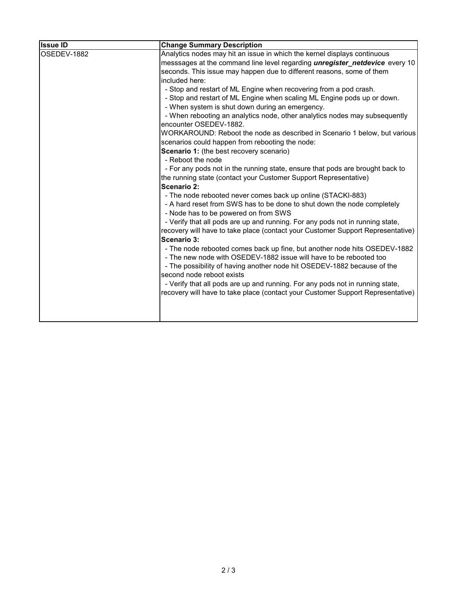| <b>Issue ID</b> | <b>Change Summary Description</b>                                                                                                               |
|-----------------|-------------------------------------------------------------------------------------------------------------------------------------------------|
| OSEDEV-1882     | Analytics nodes may hit an issue in which the kernel displays continuous                                                                        |
|                 | messsages at the command line level regarding <i>unregister netdevice</i> every 10                                                              |
|                 | seconds. This issue may happen due to different reasons, some of them                                                                           |
|                 | included here:                                                                                                                                  |
|                 | - Stop and restart of ML Engine when recovering from a pod crash.                                                                               |
|                 | - Stop and restart of ML Engine when scaling ML Engine pods up or down.<br>- When system is shut down during an emergency.                      |
|                 | - When rebooting an analytics node, other analytics nodes may subsequently<br>encounter OSEDEV-1882.                                            |
|                 | WORKAROUND: Reboot the node as described in Scenario 1 below, but various                                                                       |
|                 | scenarios could happen from rebooting the node:                                                                                                 |
|                 | Scenario 1: (the best recovery scenario)                                                                                                        |
|                 | - Reboot the node                                                                                                                               |
|                 | - For any pods not in the running state, ensure that pods are brought back to                                                                   |
|                 | the running state (contact your Customer Support Representative)                                                                                |
|                 | Scenario 2:                                                                                                                                     |
|                 | - The node rebooted never comes back up online (STACKI-883)                                                                                     |
|                 | - A hard reset from SWS has to be done to shut down the node completely<br>- Node has to be powered on from SWS                                 |
|                 | - Verify that all pods are up and running. For any pods not in running state,                                                                   |
|                 | recovery will have to take place (contact your Customer Support Representative)<br>Scenario 3:                                                  |
|                 | - The node rebooted comes back up fine, but another node hits OSEDEV-1882<br>- The new node with OSEDEV-1882 issue will have to be rebooted too |
|                 | - The possibility of having another node hit OSEDEV-1882 because of the                                                                         |
|                 | second node reboot exists                                                                                                                       |
|                 | - Verify that all pods are up and running. For any pods not in running state,                                                                   |
|                 | recovery will have to take place (contact your Customer Support Representative)                                                                 |
|                 |                                                                                                                                                 |
|                 |                                                                                                                                                 |
|                 |                                                                                                                                                 |